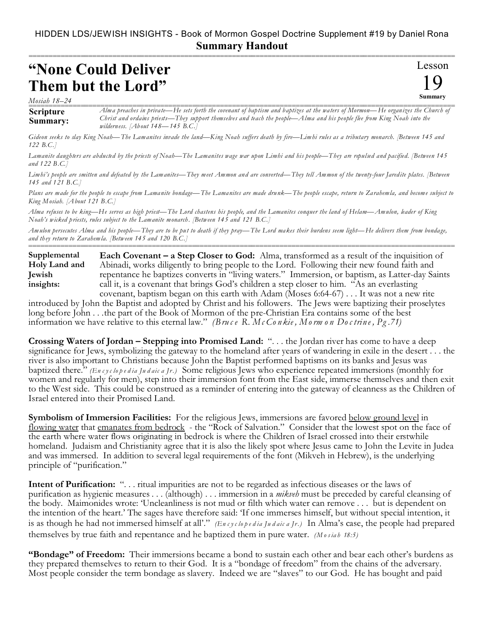## HIDDEN LDS/JEWISH INSIGHTS - Book of Mormon Gospel Doctrine Supplement #19 by Daniel Rona **Summary Handout**

## **"None Could Deliver Them but the Lord"**

*Mosiah 18–24*

**Scripture Summary:** Alma preaches in private—He sets forth the covenant of baptism and baptizes at the waters of Mormon—He organizes the Church of *Christ and ordains priests—They support themselves and teach the people—Alma and his people flee from King Noah into the wilderness. [About 148—145 B.C.]*

*Gideon seeks to slay King Noah—The Lamanites invade the land—King Noah suffers death by fire—Limhi rules as a tributary monarch. [Between 145 and 122 B.C.]*

*Lamanite daughters are abducted by the priests of Noah—The Lamanites wage war upon Limhi and his people—They are repulsed and pacified. [Between 145 and 122 B.C.]*

*Limhi's people are smitten and defeated by the Lamanites—They meet Ammon and are converted—They tell Ammon of the twenty-four Jaredite plates. [Between 145 and 121 B.C.]*

*Plans are made for the people to escape from Lamanite bondage—The Lamanites are made drunk—The people escape, return to Zarahemla, and become subject to King Mosiah. [About 121 B.C.]*

*Alma refuses to be king—He serves as high priest—The Lord chastens his people, and the Lamanites conquer the land of Helam—Amulon, leader of King Noah's wicked priests, rules subject to the Lamanite monarch. [Between 145 and 121 B.C.]*

*Amulon persecutes Alma and his people—They are to be put to death if they pray—The Lord makes their burdens seem light—He delivers them from bondage, and they return to Zarahemla. [Between 145 and 120 B.C.]* ===========================================================================================================

**Each Covenant – a Step Closer to God:** Alma, transformed as a result of the inquisition of Abinadi, works diligently to bring people to the Lord. Following their new found faith and repentance he baptizes converts in "living waters." Immersion, or baptism, as Latter-day Saints call it, is a covenant that brings God's children a step closer to him. "As an everlasting covenant, baptism began on this earth with Adam (Moses 6:64-67) . . . It was not a new rite **Supplemental Holy Land and Jewish insights:**

introduced by John the Baptist and adopted by Christ and his followers. The Jews were baptizing their proselytes long before John . . .the part of the Book of Mormon of the pre-Christian Era contains some of the best information we have relative to this eternal law." *(Bru c e R. Mc Co nkie , Morm o n Doc trin e , Pg .71)*

**Crossing Waters of Jordan – Stepping into Promised Land:** ". . . the Jordan river has come to have a deep significance for Jews, symbolizing the gateway to the homeland after years of wandering in exile in the desert . . . the river is also important to Christians because John the Baptist performed baptisms on its banks and Jesus was baptized there." *(En c y c lo p e d ia Ju d aic a Jr.)* Some religious Jews who experience repeated immersions (monthly for women and regularly for men), step into their immersion font from the East side, immerse themselves and then exit to the West side. This could be construed as a reminder of entering into the gateway of cleanness as the Children of Israel entered into their Promised Land.

**Symbolism of Immersion Facilities:** For the religious Jews, immersions are favored below ground level in flowing water that emanates from bedrock - the "Rock of Salvation." Consider that the lowest spot on the face of the earth where water flows originating in bedrock is where the Children of Israel crossed into their erstwhile homeland. Judaism and Christianity agree that it is also the likely spot where Jesus came to John the Levite in Judea and was immersed. In addition to several legal requirements of the font (Mikveh in Hebrew), is the underlying principle of "purification."

**Intent of Purification:** ". . . ritual impurities are not to be regarded as infectious diseases or the laws of purification as hygienic measures . . . (although) . . . immersion in a *mikveh* must be preceded by careful cleansing of the body. Maimonides wrote: 'Uncleanliness is not mud or filth which water can remove . . . but is dependent on the intention of the heart.' The sages have therefore said: 'If one immerses himself, but without special intention, it is as though he had not immersed himself at all'." *(En c y c lo p e d ia Ju d aic a Jr.)* In Alma's case, the people had prepared themselves by true faith and repentance and he baptized them in pure water. *(M o s ia h 18:5)*

**"Bondage" of Freedom:** Their immersions became a bond to sustain each other and bear each other's burdens as they prepared themselves to return to their God. It is a "bondage of freedom" from the chains of the adversary. Most people consider the term bondage as slavery. Indeed we are "slaves" to our God. He has bought and paid